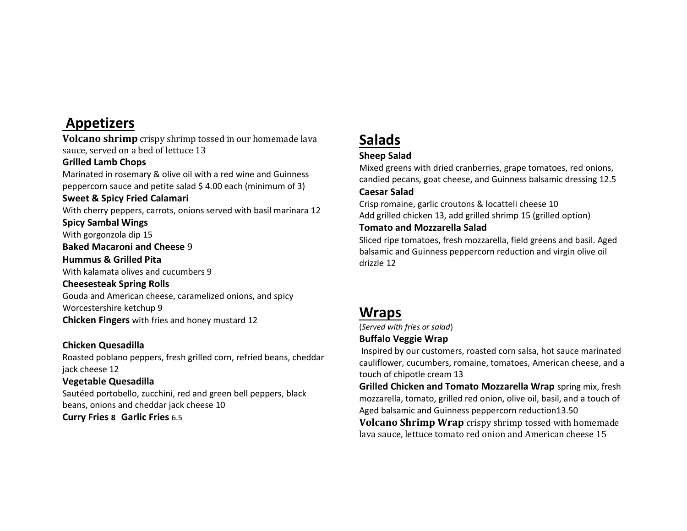# **Appetizers**

**Volcano shrimp** crispy shrimp tossed in our homemade lava sauce, served on a bed of lettuce 13

#### **Grilled Lamb Chops**

Marinated in rosemary & olive oil with a red wine and Guinness peppercorn sauce and petite salad \$ 4.00 each (minimum of 3)

#### **Sweet & Spicy Fried Calamari**

With cherry peppers, carrots, onions served with basil marinara 12

### **Spicy Sambal Wings**

With gorgonzola dip 15

**Baked Macaroni and Cheese** 9

#### **Hummus & Grilled Pita**

With kalamata olives and cucumbers 9

#### **Cheesesteak Spring Rolls**

Gouda and American cheese, caramelized onions, and spicy Worcestershire ketchup 9 **Chicken Fingers** with fries and honey mustard 12

### **Chicken Quesadilla**

Roasted poblano peppers, fresh grilled corn, refried beans, cheddar jack cheese 12

### **Vegetable Quesadilla**

Sautéed portobello, zucchini, red and green bell peppers, black beans, onions and cheddar jack cheese 10 **Curry Fries 8 Garlic Fries** 6.5

# **Salads**

## **Sheep Salad**

Mixed greens with dried cranberries, grape tomatoes, red onions, candied pecans, goat cheese, and Guinness balsamic dressing 12.5

### **Caesar Salad**

Crisp romaine, garlic croutons & locatteli cheese 10 Add grilled chicken 13, add grilled shrimp 15 (grilled option)

#### **Tomato and Mozzarella Salad**

Sliced ripe tomatoes, fresh mozzarella, field greens and basil. Aged balsamic and Guinness peppercorn reduction and virgin olive oil drizzle 12

# **Wraps**

(*Served with fries or salad*)

### **Buffalo Veggie Wrap**

Inspired by our customers, roasted corn salsa, hot sauce marinated cauliflower, cucumbers, romaine, tomatoes, American cheese, and a touch of chipotle cream 13

**Grilled Chicken and Tomato Mozzarella Wrap** spring mix, fresh mozzarella, tomato, grilled red onion, olive oil, basil, and a touch of Aged balsamic and Guinness peppercorn reduction13.50 **Volcano Shrimp Wrap** crispy shrimp tossed with homemade lava sauce, lettuce tomato red onion and American cheese 15